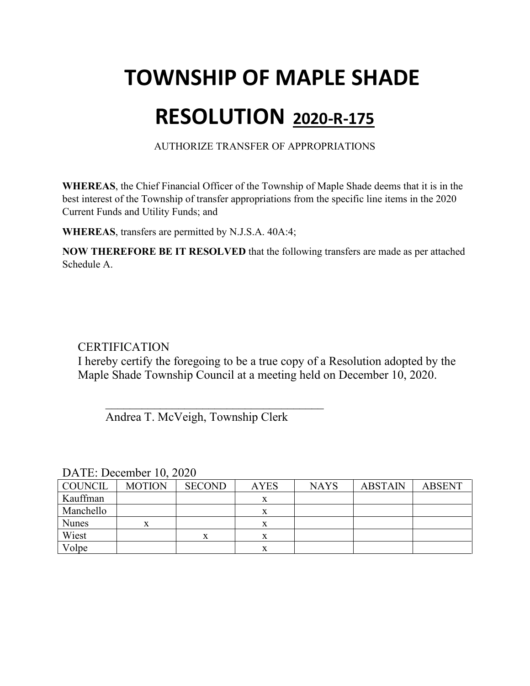# **TOWNSHIP OF MAPLE SHADE**

### **RESOLUTION 2020-R-175**

AUTHORIZE TRANSFER OF APPROPRIATIONS

**WHEREAS**, the Chief Financial Officer of the Township of Maple Shade deems that it is in the best interest of the Township of transfer appropriations from the specific line items in the 2020 Current Funds and Utility Funds; and

**WHEREAS**, transfers are permitted by N.J.S.A. 40A:4;

**NOW THEREFORE BE IT RESOLVED** that the following transfers are made as per attached Schedule A.

### **CERTIFICATION**

I hereby certify the foregoing to be a true copy of a Resolution adopted by the Maple Shade Township Council at a meeting held on December 10, 2020.

Andrea T. McVeigh, Township Clerk

 $\overline{\phantom{a}}$ 

| $P1$ , $P2$ , $P3$ , $P4$ , $P5$ |               |               |             |             |                |               |
|----------------------------------|---------------|---------------|-------------|-------------|----------------|---------------|
| <b>COUNCIL</b>                   | <b>MOTION</b> | <b>SECOND</b> | <b>AYES</b> | <b>NAYS</b> | <b>ABSTAIN</b> | <b>ABSENT</b> |
| Kauffman                         |               |               |             |             |                |               |
| Manchello                        |               |               |             |             |                |               |
| <b>Nunes</b>                     |               |               |             |             |                |               |
| Wiest                            |               | x             |             |             |                |               |
| Volpe                            |               |               | x           |             |                |               |

DATE: December 10, 2020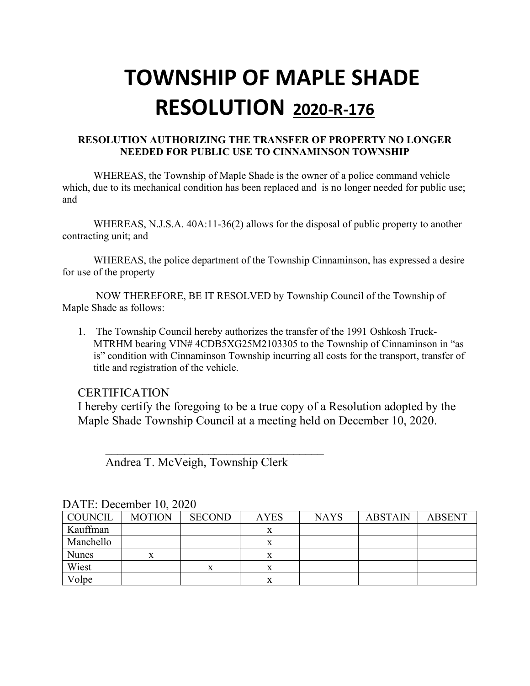### **RESOLUTION AUTHORIZING THE TRANSFER OF PROPERTY NO LONGER NEEDED FOR PUBLIC USE TO CINNAMINSON TOWNSHIP**

WHEREAS, the Township of Maple Shade is the owner of a police command vehicle which, due to its mechanical condition has been replaced and is no longer needed for public use; and

WHEREAS, N.J.S.A. 40A:11-36(2) allows for the disposal of public property to another contracting unit; and

WHEREAS, the police department of the Township Cinnaminson, has expressed a desire for use of the property

NOW THEREFORE, BE IT RESOLVED by Township Council of the Township of Maple Shade as follows:

1. The Township Council hereby authorizes the transfer of the 1991 Oshkosh Truck-MTRHM bearing VIN# 4CDB5XG25M2103305 to the Township of Cinnaminson in "as is" condition with Cinnaminson Township incurring all costs for the transport, transfer of title and registration of the vehicle.

### **CERTIFICATION**

I hereby certify the foregoing to be a true copy of a Resolution adopted by the Maple Shade Township Council at a meeting held on December 10, 2020.

Andrea T. McVeigh, Township Clerk

| $DATE$ , DUULIIIUU TU, $2020$ |               |               |             |             |                |               |  |
|-------------------------------|---------------|---------------|-------------|-------------|----------------|---------------|--|
| COUNCIL                       | <b>MOTION</b> | <b>SECOND</b> | <b>AYES</b> | <b>NAYS</b> | <b>ABSTAIN</b> | <b>ABSENT</b> |  |
| Kauffman                      |               |               |             |             |                |               |  |
| Manchello                     |               |               |             |             |                |               |  |
| <b>Nunes</b>                  | X             |               | x           |             |                |               |  |
| Wiest                         |               | л             | л           |             |                |               |  |
| Volpe                         |               |               |             |             |                |               |  |

| DATE: December 10, 2020 |  |  |  |
|-------------------------|--|--|--|
|-------------------------|--|--|--|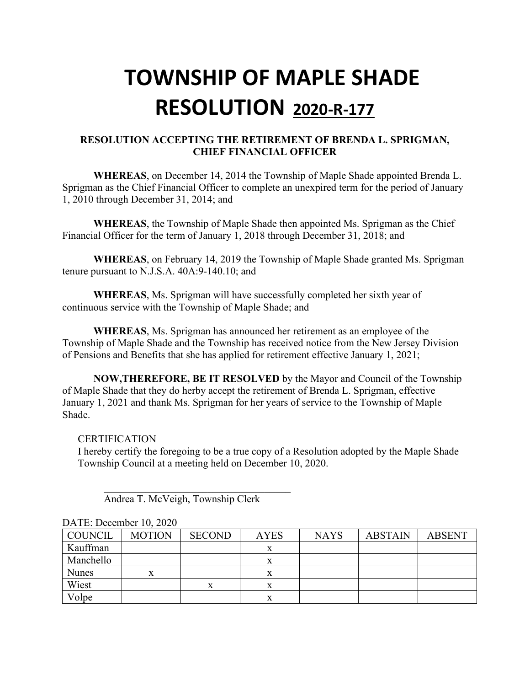### **RESOLUTION ACCEPTING THE RETIREMENT OF BRENDA L. SPRIGMAN, CHIEF FINANCIAL OFFICER**

**WHEREAS**, on December 14, 2014 the Township of Maple Shade appointed Brenda L. Sprigman as the Chief Financial Officer to complete an unexpired term for the period of January 1, 2010 through December 31, 2014; and

**WHEREAS**, the Township of Maple Shade then appointed Ms. Sprigman as the Chief Financial Officer for the term of January 1, 2018 through December 31, 2018; and

**WHEREAS**, on February 14, 2019 the Township of Maple Shade granted Ms. Sprigman tenure pursuant to N.J.S.A. 40A:9-140.10; and

**WHEREAS**, Ms. Sprigman will have successfully completed her sixth year of continuous service with the Township of Maple Shade; and

**WHEREAS**, Ms. Sprigman has announced her retirement as an employee of the Township of Maple Shade and the Township has received notice from the New Jersey Division of Pensions and Benefits that she has applied for retirement effective January 1, 2021;

**NOW,THEREFORE, BE IT RESOLVED** by the Mayor and Council of the Township of Maple Shade that they do herby accept the retirement of Brenda L. Sprigman, effective January 1, 2021 and thank Ms. Sprigman for her years of service to the Township of Maple Shade.

#### **CERTIFICATION**

DATE: December 10, 2020

I hereby certify the foregoing to be a true copy of a Resolution adopted by the Maple Shade Township Council at a meeting held on December 10, 2020.

| <b>COUNCIL</b> | <b>MOTION</b> | <b>SECOND</b> | <b>AYES</b> | <b>NAYS</b> | <b>ABSTAIN</b> | <b>ABSENT</b> |
|----------------|---------------|---------------|-------------|-------------|----------------|---------------|
| Kauffman       |               |               |             |             |                |               |
| Manchello      |               |               | x           |             |                |               |
| <b>Nunes</b>   | X             |               | x           |             |                |               |
| Wiest          |               |               | л           |             |                |               |
| Volpe          |               |               | л           |             |                |               |

Andrea T. McVeigh, Township Clerk

 $\overline{\mathcal{L}}$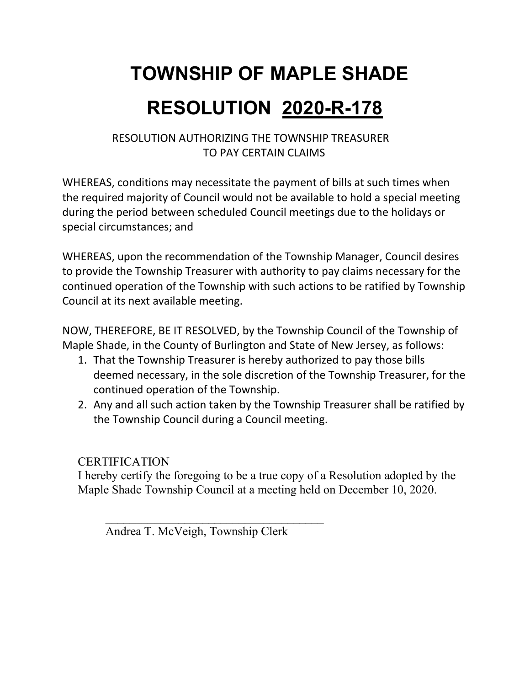### RESOLUTION AUTHORIZING THE TOWNSHIP TREASURER TO PAY CERTAIN CLAIMS

WHEREAS, conditions may necessitate the payment of bills at such times when the required majority of Council would not be available to hold a special meeting during the period between scheduled Council meetings due to the holidays or special circumstances; and

WHEREAS, upon the recommendation of the Township Manager, Council desires to provide the Township Treasurer with authority to pay claims necessary for the continued operation of the Township with such actions to be ratified by Township Council at its next available meeting.

NOW, THEREFORE, BE IT RESOLVED, by the Township Council of the Township of Maple Shade, in the County of Burlington and State of New Jersey, as follows:

- 1. That the Township Treasurer is hereby authorized to pay those bills deemed necessary, in the sole discretion of the Township Treasurer, for the continued operation of the Township.
- 2. Any and all such action taken by the Township Treasurer shall be ratified by the Township Council during a Council meeting.

### **CERTIFICATION**

I hereby certify the foregoing to be a true copy of a Resolution adopted by the Maple Shade Township Council at a meeting held on December 10, 2020.

Andrea T. McVeigh, Township Clerk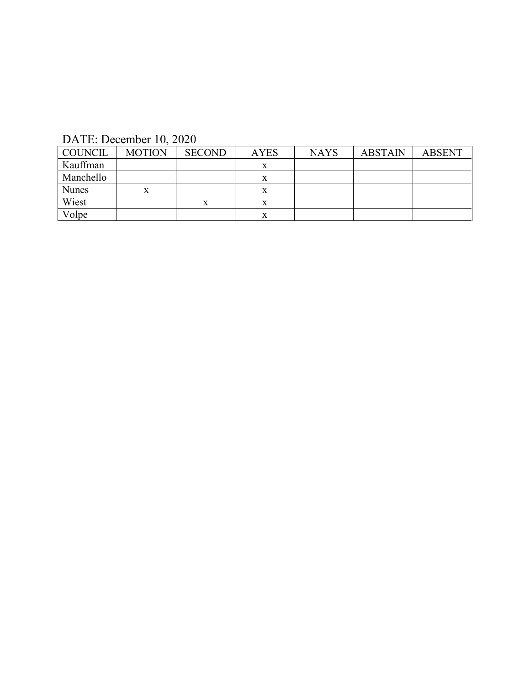DATE: December 10, 2020

| <b>COUNCIL</b> | <b>MOTION</b> | <b>SECOND</b> | <b>AYES</b> | <b>NAYS</b> | <b>ABSTAIN</b> | <b>ABSENT</b> |
|----------------|---------------|---------------|-------------|-------------|----------------|---------------|
| Kauffman       |               |               |             |             |                |               |
| Manchello      |               |               |             |             |                |               |
| <b>Nunes</b>   |               |               |             |             |                |               |
| Wiest          |               | x             |             |             |                |               |
| Volpe          |               |               |             |             |                |               |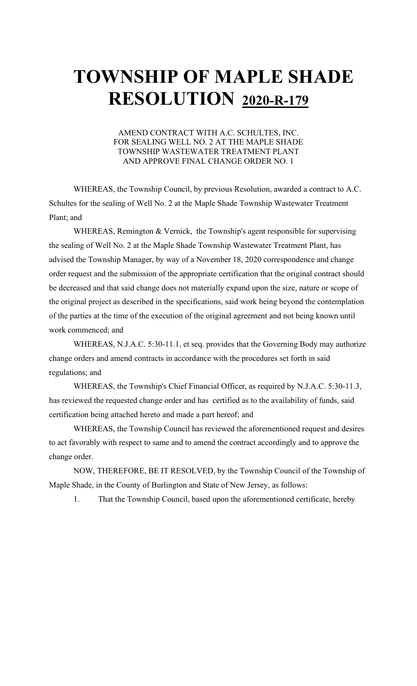#### AMEND CONTRACT WITH A.C. SCHULTES, INC. FOR SEALING WELL NO. 2 AT THE MAPLE SHADE TOWNSHIP WASTEWATER TREATMENT PLANT AND APPROVE FINAL CHANGE ORDER NO. 1

WHEREAS, the Township Council, by previous Resolution, awarded a contract to A.C. Schultes for the sealing of Well No. 2 at the Maple Shade Township Wastewater Treatment Plant; and

WHEREAS, Remington & Vernick, the Township's agent responsible for supervising the sealing of Well No. 2 at the Maple Shade Township Wastewater Treatment Plant, has advised the Township Manager, by way of a November 18, 2020 correspondence and change order request and the submission of the appropriate certification that the original contract should be decreased and that said change does not materially expand upon the size, nature or scope of the original project as described in the specifications, said work being beyond the contemplation of the parties at the time of the execution of the original agreement and not being known until work commenced; and

WHEREAS, N.J.A.C. 5:30-11.1, et seq. provides that the Governing Body may authorize change orders and amend contracts in accordance with the procedures set forth in said regulations; and

WHEREAS, the Township's Chief Financial Officer, as required by N.J.A.C. 5:30-11.3, has reviewed the requested change order and has certified as to the availability of funds, said certification being attached hereto and made a part hereof; and

WHEREAS, the Township Council has reviewed the aforementioned request and desires to act favorably with respect to same and to amend the contract accordingly and to approve the change order.

NOW, THEREFORE, BE IT RESOLVED, by the Township Council of the Township of Maple Shade, in the County of Burlington and State of New Jersey, as follows:

1. That the Township Council, based upon the aforementioned certificate, hereby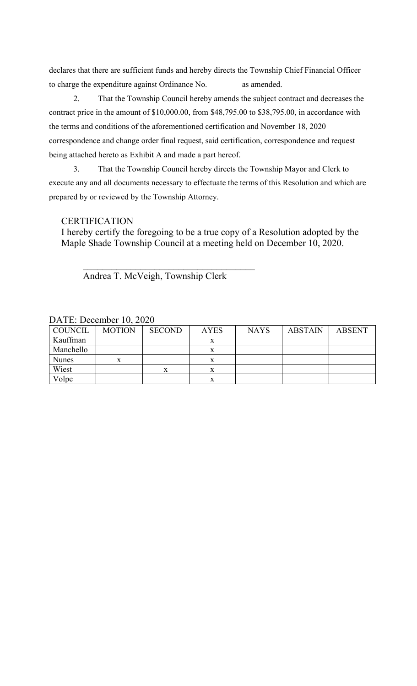declares that there are sufficient funds and hereby directs the Township Chief Financial Officer to charge the expenditure against Ordinance No. as amended.

2. That the Township Council hereby amends the subject contract and decreases the contract price in the amount of \$10,000.00, from \$48,795.00 to \$38,795.00, in accordance with the terms and conditions of the aforementioned certification and November 18, 2020 correspondence and change order final request, said certification, correspondence and request being attached hereto as Exhibit A and made a part hereof.

3. That the Township Council hereby directs the Township Mayor and Clerk to execute any and all documents necessary to effectuate the terms of this Resolution and which are prepared by or reviewed by the Township Attorney.

### **CERTIFICATION**

I hereby certify the foregoing to be a true copy of a Resolution adopted by the Maple Shade Township Council at a meeting held on December 10, 2020.

Andrea T. McVeigh, Township Clerk

| <b>COUNCIL</b> | <b>MOTION</b> | <b>SECOND</b> | <b>AYES</b> | <b>NAYS</b> | <b>ABSTAIN</b> | <b>ABSENT</b> |
|----------------|---------------|---------------|-------------|-------------|----------------|---------------|
| Kauffman       |               |               | x           |             |                |               |
| Manchello      |               |               |             |             |                |               |
| <b>Nunes</b>   | X             |               | л           |             |                |               |
| Wiest          |               | $\mathbf v$   | Λ           |             |                |               |
| Volpe          |               |               |             |             |                |               |

DATE: December 10, 2020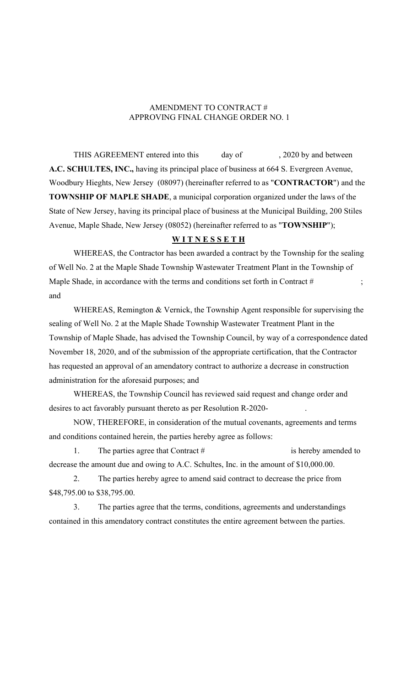### AMENDMENT TO CONTRACT # APPROVING FINAL CHANGE ORDER NO. 1

THIS AGREEMENT entered into this day of , 2020 by and between **A.C. SCHULTES, INC.,** having its principal place of business at 664 S. Evergreen Avenue, Woodbury Hieghts, New Jersey (08097) (hereinafter referred to as "**CONTRACTOR**") and the **TOWNSHIP OF MAPLE SHADE**, a municipal corporation organized under the laws of the State of New Jersey, having its principal place of business at the Municipal Building, 200 Stiles Avenue, Maple Shade, New Jersey (08052) (hereinafter referred to as "**TOWNSHIP**");

#### **W I T N E S S E T H**

WHEREAS, the Contractor has been awarded a contract by the Township for the sealing of Well No. 2 at the Maple Shade Township Wastewater Treatment Plant in the Township of Maple Shade, in accordance with the terms and conditions set forth in Contract # ; and

WHEREAS, Remington & Vernick, the Township Agent responsible for supervising the sealing of Well No. 2 at the Maple Shade Township Wastewater Treatment Plant in the Township of Maple Shade, has advised the Township Council, by way of a correspondence dated November 18, 2020, and of the submission of the appropriate certification, that the Contractor has requested an approval of an amendatory contract to authorize a decrease in construction administration for the aforesaid purposes; and

WHEREAS, the Township Council has reviewed said request and change order and desires to act favorably pursuant thereto as per Resolution R-2020-

NOW, THEREFORE, in consideration of the mutual covenants, agreements and terms and conditions contained herein, the parties hereby agree as follows:

1. The parties agree that Contract # is hereby amended to decrease the amount due and owing to A.C. Schultes, Inc. in the amount of \$10,000.00.

2. The parties hereby agree to amend said contract to decrease the price from \$48,795.00 to \$38,795.00.

3. The parties agree that the terms, conditions, agreements and understandings contained in this amendatory contract constitutes the entire agreement between the parties.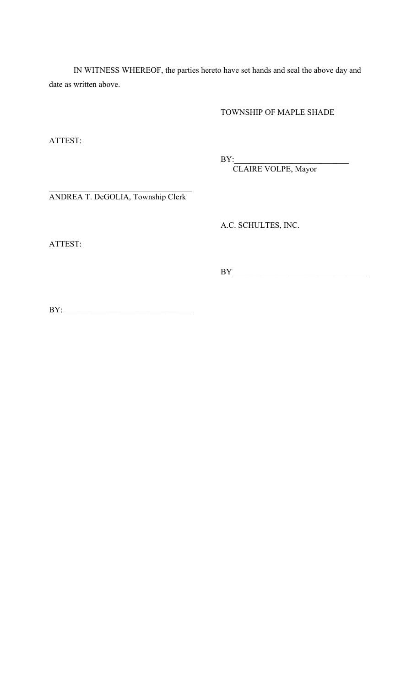IN WITNESS WHEREOF, the parties hereto have set hands and seal the above day and date as written above.

TOWNSHIP OF MAPLE SHADE

ATTEST:

BY:\_\_\_\_\_\_\_\_\_\_\_\_\_\_\_\_\_\_\_\_\_\_\_\_\_\_\_\_

CLAIRE VOLPE, Mayor

ANDREA T. DeGOLIA, Township Clerk

A.C. SCHULTES, INC.

ATTEST:

BY\_\_\_\_\_\_\_\_\_\_\_\_\_\_\_\_\_\_\_\_\_\_\_\_\_\_\_\_\_\_\_\_\_

BY:\_\_\_\_\_\_\_\_\_\_\_\_\_\_\_\_\_\_\_\_\_\_\_\_\_\_\_\_\_\_\_\_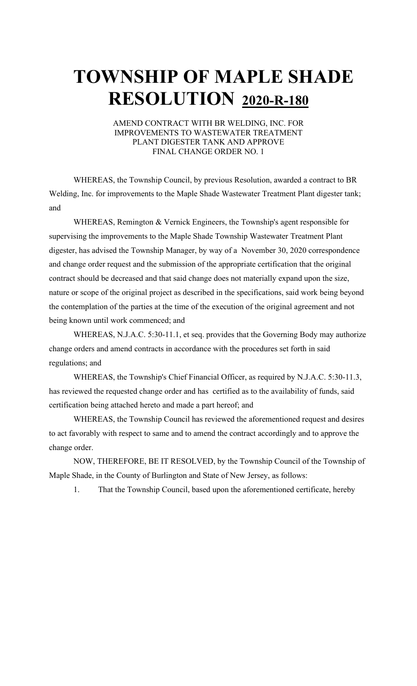#### AMEND CONTRACT WITH BR WELDING, INC. FOR IMPROVEMENTS TO WASTEWATER TREATMENT PLANT DIGESTER TANK AND APPROVE FINAL CHANGE ORDER NO. 1

WHEREAS, the Township Council, by previous Resolution, awarded a contract to BR Welding, Inc. for improvements to the Maple Shade Wastewater Treatment Plant digester tank; and

WHEREAS, Remington & Vernick Engineers, the Township's agent responsible for supervising the improvements to the Maple Shade Township Wastewater Treatment Plant digester, has advised the Township Manager, by way of a November 30, 2020 correspondence and change order request and the submission of the appropriate certification that the original contract should be decreased and that said change does not materially expand upon the size, nature or scope of the original project as described in the specifications, said work being beyond the contemplation of the parties at the time of the execution of the original agreement and not being known until work commenced; and

WHEREAS, N.J.A.C. 5:30-11.1, et seq. provides that the Governing Body may authorize change orders and amend contracts in accordance with the procedures set forth in said regulations; and

WHEREAS, the Township's Chief Financial Officer, as required by N.J.A.C. 5:30-11.3, has reviewed the requested change order and has certified as to the availability of funds, said certification being attached hereto and made a part hereof; and

WHEREAS, the Township Council has reviewed the aforementioned request and desires to act favorably with respect to same and to amend the contract accordingly and to approve the change order.

NOW, THEREFORE, BE IT RESOLVED, by the Township Council of the Township of Maple Shade, in the County of Burlington and State of New Jersey, as follows:

1. That the Township Council, based upon the aforementioned certificate, hereby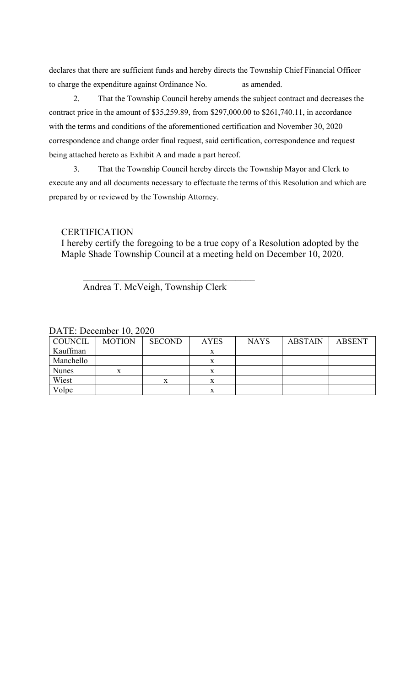declares that there are sufficient funds and hereby directs the Township Chief Financial Officer to charge the expenditure against Ordinance No. as amended.

2. That the Township Council hereby amends the subject contract and decreases the contract price in the amount of \$35,259.89, from \$297,000.00 to \$261,740.11, in accordance with the terms and conditions of the aforementioned certification and November 30, 2020 correspondence and change order final request, said certification, correspondence and request being attached hereto as Exhibit A and made a part hereof.

3. That the Township Council hereby directs the Township Mayor and Clerk to execute any and all documents necessary to effectuate the terms of this Resolution and which are prepared by or reviewed by the Township Attorney.

**CERTIFICATION** 

I hereby certify the foregoing to be a true copy of a Resolution adopted by the Maple Shade Township Council at a meeting held on December 10, 2020.

Andrea T. McVeigh, Township Clerk

| <b>COUNCIL</b> | <b>MOTION</b> | <b>SECOND</b> | <b>AYES</b> | <b>NAYS</b> | <b>ABSTAIN</b> | <b>ABSENT</b> |
|----------------|---------------|---------------|-------------|-------------|----------------|---------------|
| Kauffman       |               |               |             |             |                |               |
| Manchello      |               |               | x           |             |                |               |
| <b>Nunes</b>   | x             |               | x           |             |                |               |
| Wiest          |               |               | x           |             |                |               |
| Volpe          |               |               | x           |             |                |               |

DATE: December 10, 2020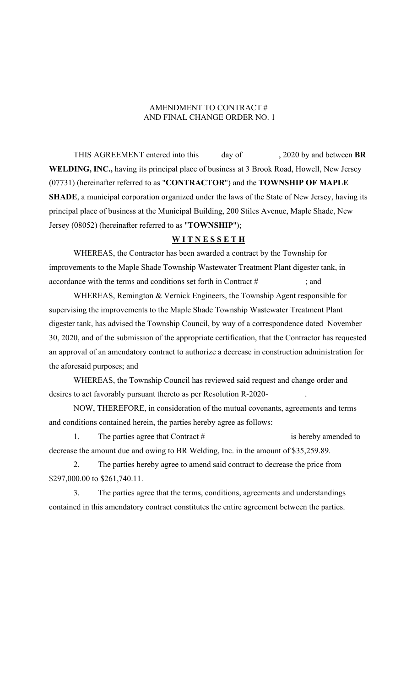### AMENDMENT TO CONTRACT # AND FINAL CHANGE ORDER NO. 1

THIS AGREEMENT entered into this day of , 2020 by and between BR **WELDING, INC.,** having its principal place of business at 3 Brook Road, Howell, New Jersey (07731) (hereinafter referred to as "**CONTRACTOR**") and the **TOWNSHIP OF MAPLE SHADE**, a municipal corporation organized under the laws of the State of New Jersey, having its principal place of business at the Municipal Building, 200 Stiles Avenue, Maple Shade, New Jersey (08052) (hereinafter referred to as "**TOWNSHIP**");

### **W I T N E S S E T H**

WHEREAS, the Contractor has been awarded a contract by the Township for improvements to the Maple Shade Township Wastewater Treatment Plant digester tank, in accordance with the terms and conditions set forth in Contract # ; and

WHEREAS, Remington & Vernick Engineers, the Township Agent responsible for supervising the improvements to the Maple Shade Township Wastewater Treatment Plant digester tank, has advised the Township Council, by way of a correspondence dated November 30, 2020, and of the submission of the appropriate certification, that the Contractor has requested an approval of an amendatory contract to authorize a decrease in construction administration for the aforesaid purposes; and

WHEREAS, the Township Council has reviewed said request and change order and desires to act favorably pursuant thereto as per Resolution R-2020- .

NOW, THEREFORE, in consideration of the mutual covenants, agreements and terms and conditions contained herein, the parties hereby agree as follows:

1. The parties agree that Contract # is hereby amended to decrease the amount due and owing to BR Welding, Inc. in the amount of \$35,259.89.

2. The parties hereby agree to amend said contract to decrease the price from \$297,000.00 to \$261,740.11.

3. The parties agree that the terms, conditions, agreements and understandings contained in this amendatory contract constitutes the entire agreement between the parties.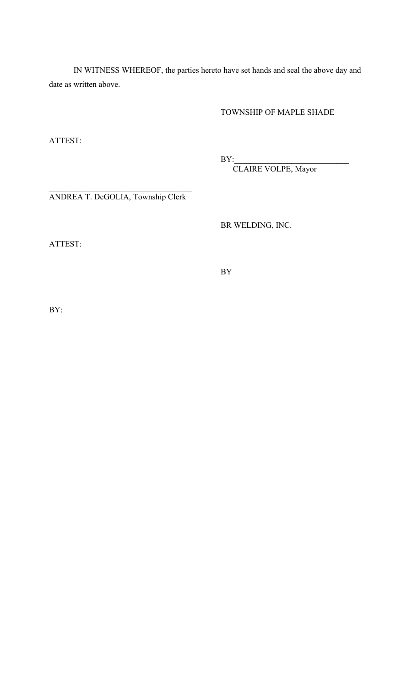IN WITNESS WHEREOF, the parties hereto have set hands and seal the above day and date as written above.

TOWNSHIP OF MAPLE SHADE

ATTEST:

BY:\_\_\_\_\_\_\_\_\_\_\_\_\_\_\_\_\_\_\_\_\_\_\_\_\_\_\_\_

CLAIRE VOLPE, Mayor

ANDREA T. DeGOLIA, Township Clerk

BR WELDING, INC.

ATTEST:

BY\_\_\_\_\_\_\_\_\_\_\_\_\_\_\_\_\_\_\_\_\_\_\_\_\_\_\_\_\_\_\_\_\_

BY:\_\_\_\_\_\_\_\_\_\_\_\_\_\_\_\_\_\_\_\_\_\_\_\_\_\_\_\_\_\_\_\_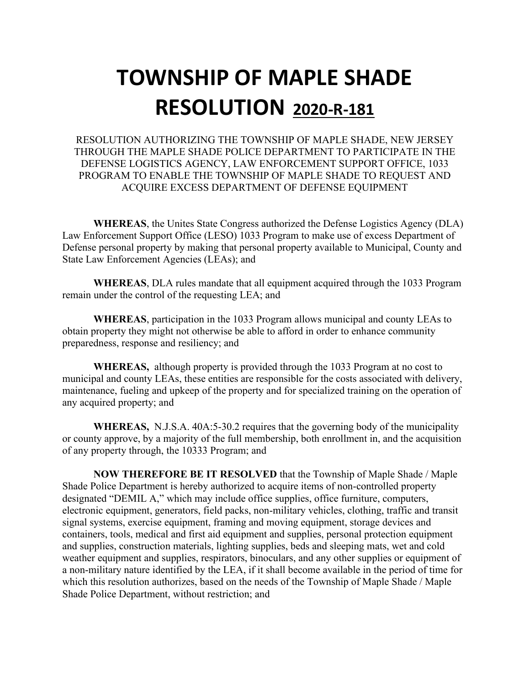RESOLUTION AUTHORIZING THE TOWNSHIP OF MAPLE SHADE, NEW JERSEY THROUGH THE MAPLE SHADE POLICE DEPARTMENT TO PARTICIPATE IN THE DEFENSE LOGISTICS AGENCY, LAW ENFORCEMENT SUPPORT OFFICE, 1033 PROGRAM TO ENABLE THE TOWNSHIP OF MAPLE SHADE TO REQUEST AND ACQUIRE EXCESS DEPARTMENT OF DEFENSE EQUIPMENT

**WHEREAS**, the Unites State Congress authorized the Defense Logistics Agency (DLA) Law Enforcement Support Office (LESO) 1033 Program to make use of excess Department of Defense personal property by making that personal property available to Municipal, County and State Law Enforcement Agencies (LEAs); and

**WHEREAS**, DLA rules mandate that all equipment acquired through the 1033 Program remain under the control of the requesting LEA; and

**WHEREAS**, participation in the 1033 Program allows municipal and county LEAs to obtain property they might not otherwise be able to afford in order to enhance community preparedness, response and resiliency; and

**WHEREAS,** although property is provided through the 1033 Program at no cost to municipal and county LEAs, these entities are responsible for the costs associated with delivery, maintenance, fueling and upkeep of the property and for specialized training on the operation of any acquired property; and

**WHEREAS,** N.J.S.A. 40A:5-30.2 requires that the governing body of the municipality or county approve, by a majority of the full membership, both enrollment in, and the acquisition of any property through, the 10333 Program; and

**NOW THEREFORE BE IT RESOLVED** that the Township of Maple Shade / Maple Shade Police Department is hereby authorized to acquire items of non-controlled property designated "DEMIL A," which may include office supplies, office furniture, computers, electronic equipment, generators, field packs, non-military vehicles, clothing, traffic and transit signal systems, exercise equipment, framing and moving equipment, storage devices and containers, tools, medical and first aid equipment and supplies, personal protection equipment and supplies, construction materials, lighting supplies, beds and sleeping mats, wet and cold weather equipment and supplies, respirators, binoculars, and any other supplies or equipment of a non-military nature identified by the LEA, if it shall become available in the period of time for which this resolution authorizes, based on the needs of the Township of Maple Shade / Maple Shade Police Department, without restriction; and